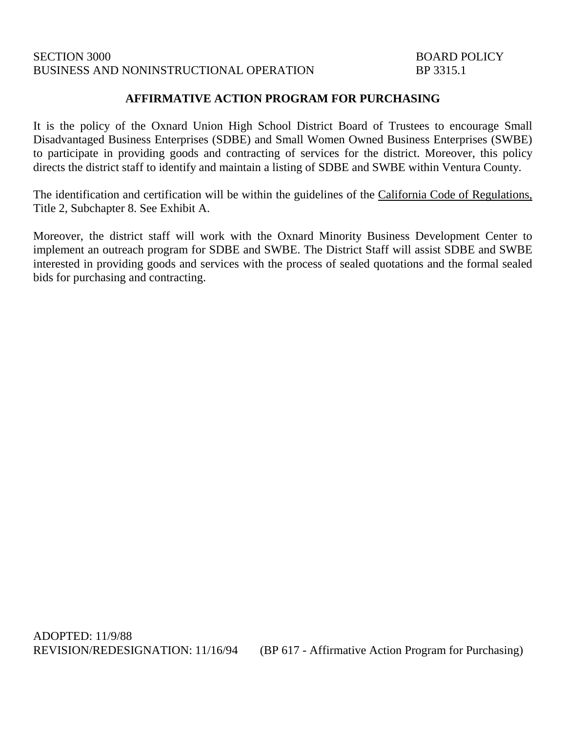## SECTION 3000 BOARD POLICY BUSINESS AND NONINSTRUCTIONAL OPERATION BP 3315.1

## **AFFIRMATIVE ACTION PROGRAM FOR PURCHASING**

It is the policy of the Oxnard Union High School District Board of Trustees to encourage Small Disadvantaged Business Enterprises (SDBE) and Small Women Owned Business Enterprises (SWBE) to participate in providing goods and contracting of services for the district. Moreover, this policy directs the district staff to identify and maintain a listing of SDBE and SWBE within Ventura County.

The identification and certification will be within the guidelines of the California Code of Regulations, Title 2, Subchapter 8. See Exhibit A.

Moreover, the district staff will work with the Oxnard Minority Business Development Center to implement an outreach program for SDBE and SWBE. The District Staff will assist SDBE and SWBE interested in providing goods and services with the process of sealed quotations and the formal sealed bids for purchasing and contracting.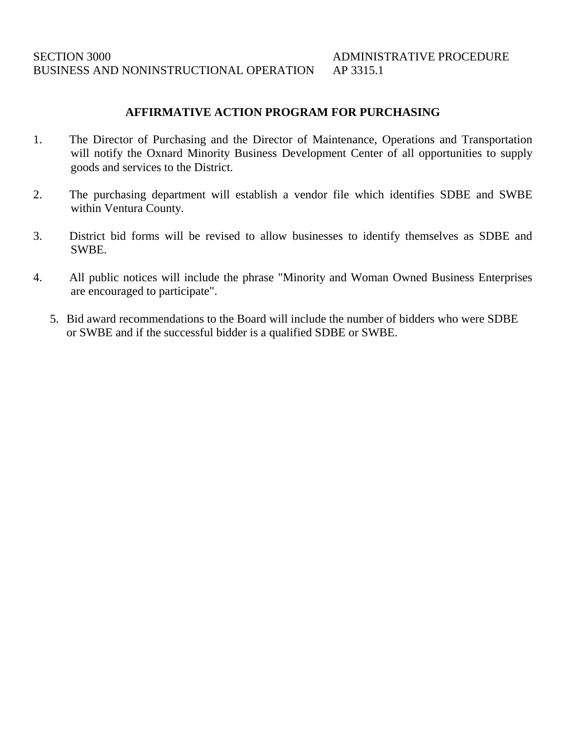# **AFFIRMATIVE ACTION PROGRAM FOR PURCHASING**

- 1. The Director of Purchasing and the Director of Maintenance, Operations and Transportation will notify the Oxnard Minority Business Development Center of all opportunities to supply goods and services to the District.
- 2. The purchasing department will establish a vendor file which identifies SDBE and SWBE within Ventura County.
- 3. District bid forms will be revised to allow businesses to identify themselves as SDBE and SWBE.
- 4. All public notices will include the phrase "Minority and Woman Owned Business Enterprises are encouraged to participate".
	- 5. Bid award recommendations to the Board will include the number of bidders who were SDBE or SWBE and if the successful bidder is a qualified SDBE or SWBE.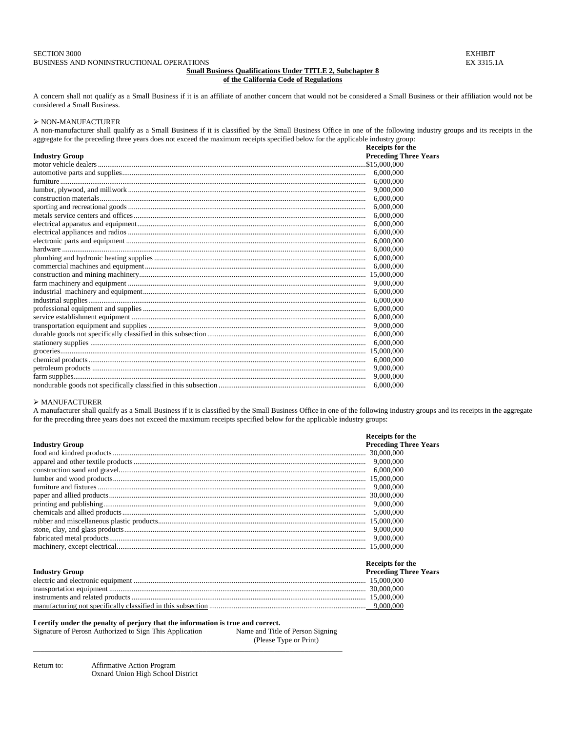### **Small Business Qualifications Under TITLE 2, Subchapter 8 of the California Code of Regulations**

A concern shall not qualify as a Small Business if it is an affiliate of another concern that would not be considered a Small Business or their affiliation would not be considered a Small Business.

## $\triangleright$  NON-MANUFACTURER

A non-manufacturer shall qualify as a Small Business if it is classified by the Small Business Office in one of the following industry groups and its receipts in the aggregate for the preceding three years does not exceed the maximum receipts specified below for the applicable industry group:

|                       | Receipts for the             |
|-----------------------|------------------------------|
| <b>Industry Group</b> | <b>Preceding Three Years</b> |
|                       |                              |
|                       |                              |
|                       | 6,000,000                    |
|                       |                              |
|                       | 6,000,000                    |
|                       | 6,000,000                    |
|                       | 6,000,000                    |
|                       | 6,000,000                    |
|                       | 6,000,000                    |
|                       | 6,000,000                    |
|                       | 6,000,000                    |
|                       |                              |
|                       | 6,000,000                    |
|                       |                              |
|                       |                              |
|                       | 6,000,000                    |
|                       |                              |
|                       | 6,000,000                    |
|                       | 6,000,000                    |
|                       |                              |
|                       | 6,000,000                    |
|                       | 6,000,000                    |
|                       |                              |
|                       |                              |
|                       |                              |
|                       |                              |
|                       |                              |

#### $\blacktriangleright$  MANUFACTURER

A manufacturer shall qualify as a Small Business if it is classified by the Small Business Office in one of the following industry groups and its receipts in the aggregate for the preceding three years does not exceed the maximum receipts specified below for the applicable industry groups:

|                       | <b>Receipts for the</b>      |
|-----------------------|------------------------------|
| <b>Industry Group</b> | <b>Preceding Three Years</b> |
|                       |                              |
|                       |                              |
|                       |                              |
|                       |                              |
|                       |                              |
|                       |                              |
|                       |                              |
|                       |                              |
|                       |                              |
|                       |                              |
|                       |                              |
|                       |                              |

|                       | Receipts for the             |
|-----------------------|------------------------------|
| <b>Industry Group</b> | <b>Preceding Three Years</b> |
|                       |                              |
|                       |                              |
|                       |                              |
|                       |                              |

#### **I certify under the penalty of perjury that the information is true and correct.**

Signature of Perosn Authorized to Sign This Application Name and Title of Person Signing (Please Type or Print) \_\_\_\_\_\_\_\_\_\_\_\_\_\_\_\_\_\_\_\_\_\_\_\_\_\_\_\_\_\_\_\_\_\_\_\_\_\_\_\_\_\_\_\_\_\_\_\_\_\_\_\_\_\_\_\_\_\_\_\_\_\_\_\_\_\_\_\_\_\_\_\_\_\_\_\_\_\_\_\_\_\_

Return to: Affirmative Action Program Oxnard Union High School District